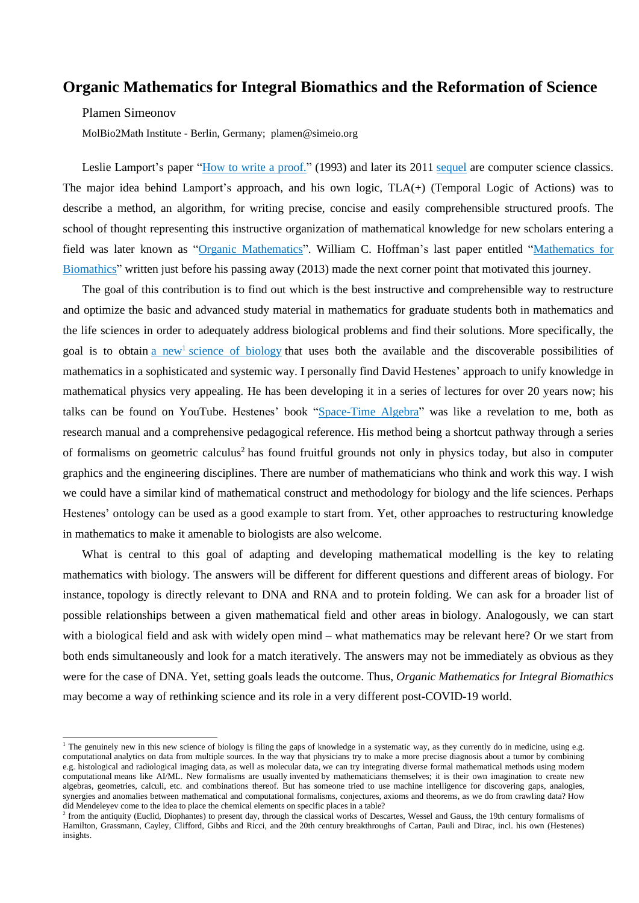## **Organic Mathematics for Integral Biomathics and the Reformation of Science**

Plamen Simeonov

MolBio2Math Institute - Berlin, Germany; plamen@simeio.org

Leslie Lamport's paper "How to write a [proof."](https://www.microsoft.com/en-us/research/uploads/prod/2016/12/How-to-Write-a-Proof.pdf) (1993) and later its 2011 [sequel](https://lamport.azurewebsites.net/pubs/proof.pdf) are computer science classics. The major idea behind Lamport's approach, and his own logic, TLA(+) (Temporal Logic of Actions) was to describe a method, an algorithm, for writing precise, concise and easily comprehensible structured proofs. The school of thought representing this instructive organization of mathematical knowledge for new scholars entering a field was later known as "Organic [Mathematics"](http://www.ams.org/notices/201203/rtx120300416p.pdf). William C. Hoffman's last paper entitled ["Mathematics](https://www.ncbi.nlm.nih.gov/pubmed/23562915) for [Biomathics"](https://www.ncbi.nlm.nih.gov/pubmed/23562915) written just before his passing away (2013) made the next corner point that motivated this journey.

The goal of this contribution is to find out which is the best instructive and comprehensible way to restructure and optimize the basic and advanced study material in mathematics for graduate students both in mathematics and the life sciences in order to adequately address biological problems and find their solutions. More specifically, the goal is to obtain a new<sup>1</sup> science of [biology](https://link.springer.com/chapter/10.1007/978-3-642-22760-8_21) that uses both the available and the discoverable possibilities of mathematics in a sophisticated and systemic way. I personally find David Hestenes' approach to unify knowledge in mathematical physics very appealing. He has been developing it in a series of lectures for over 20 years now; his talks can be found on YouTube. Hestenes' book ["Space-Time](https://www.springer.com/gp/book/9783319184128) Algebra" was like a revelation to me, both as research manual and a comprehensive pedagogical reference. His method being a shortcut pathway through a series of formalisms on geometric calculus<sup>2</sup> has found fruitful grounds not only in physics today, but also in computer graphics and the engineering disciplines. There are number of mathematicians who think and work this way. I wish we could have a similar kind of mathematical construct and methodology for biology and the life sciences. Perhaps Hestenes' ontology can be used as a good example to start from. Yet, other approaches to restructuring knowledge in mathematics to make it amenable to biologists are also welcome.

What is central to this goal of adapting and developing mathematical modelling is the key to relating mathematics with biology. The answers will be different for different questions and different areas of biology. For instance, topology is directly relevant to DNA and RNA and to protein folding. We can ask for a broader list of possible relationships between a given mathematical field and other areas in biology. Analogously, we can start with a biological field and ask with widely open mind – what mathematics may be relevant here? Or we start from both ends simultaneously and look for a match iteratively. The answers may not be immediately as obvious as they were for the case of DNA. Yet, setting goals leads the outcome. Thus, *Organic Mathematics for Integral Biomathics* may become a way of rethinking science and its role in a very different post-COVID-19 world.

<sup>&</sup>lt;sup>1</sup> The genuinely new in this new science of biology is filing the gaps of knowledge in a systematic way, as they currently do in medicine, using e.g. computational analytics on data from multiple sources. In the way that physicians try to make a more precise diagnosis about a tumor by combining e.g. histological and radiological imaging data, as well as molecular data, we can try integrating diverse formal mathematical methods using modern computational means like AI/ML. New formalisms are usually invented by mathematicians themselves; it is their own imagination to create new algebras, geometries, calculi, etc. and combinations thereof. But has someone tried to use machine intelligence for discovering gaps, analogies, synergies and anomalies between mathematical and computational formalisms, conjectures, axioms and theorems, as we do from crawling data? How did Mendeleyev come to the idea to place the chemical elements on specific places in a table?

 $^2$  from the antiquity (Euclid, Diophantes) to present day, through the classical works of Descartes, Wessel and Gauss, the 19th century formalisms of Hamilton, Grassmann, Cayley, Clifford, Gibbs and Ricci, and the 20th century breakthroughs of Cartan, Pauli and Dirac, incl. his own (Hestenes) insights.